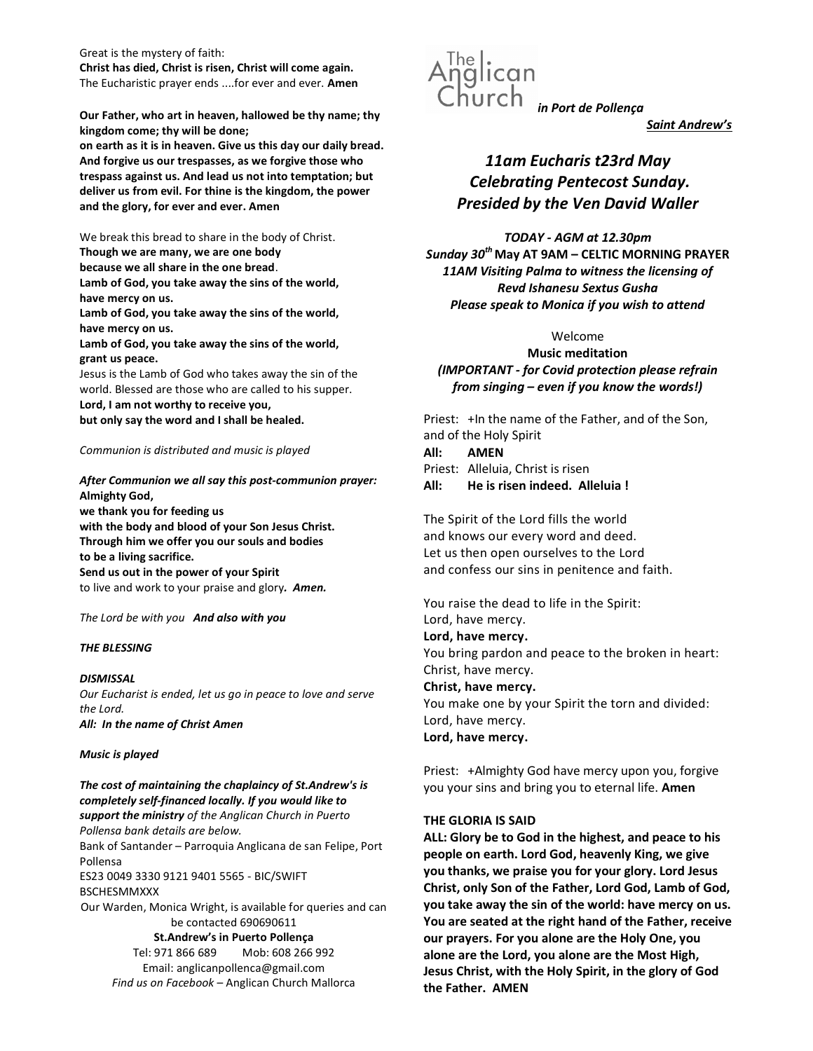Great is the mystery of faith: Christ has died, Christ is risen, Christ will come again. The Eucharistic prayer ends ....for ever and ever. Amen

Our Father, who art in heaven, hallowed be thy name; thy kingdom come; thy will be done;

on earth as it is in heaven. Give us this day our daily bread. And forgive us our trespasses, as we forgive those who trespass against us. And lead us not into temptation; but deliver us from evil. For thine is the kingdom, the power and the glory, for ever and ever. Amen

We break this bread to share in the body of Christ. Though we are many, we are one body because we all share in the one bread. Lamb of God, you take away the sins of the world, have mercy on us. Lamb of God, you take away the sins of the world, have mercy on us.

Lamb of God, you take away the sins of the world, grant us peace.

Jesus is the Lamb of God who takes away the sin of the world. Blessed are those who are called to his supper.

Lord, I am not worthy to receive you, but only say the word and I shall be healed.

### Communion is distributed and music is played

After Communion we all say this post-communion prayer: Almighty God, we thank you for feeding us with the body and blood of your Son Jesus Christ. Through him we offer you our souls and bodies to be a living sacrifice. Send us out in the power of your Spirit

to live and work to your praise and glory. Amen.

The Lord be with you And also with you

### THE BLESSING

**DISMISSAL** Our Eucharist is ended, let us go in peace to love and serve the Lord. All: In the name of Christ Amen

#### Music is played

The cost of maintaining the chaplaincy of St.Andrew's is completely self-financed locally. If you would like to support the ministry of the Anglican Church in Puerto Pollensa bank details are below. Bank of Santander – Parroquia Anglicana de san Felipe, Port Pollensa ES23 0049 3330 9121 9401 5565 - BIC/SWIFT BSCHESMMXXX Our Warden, Monica Wright, is available for queries and can be contacted 690690611 St.Andrew's in Puerto Pollença Tel: 971 866 689 Mob: 608 266 992 Email: anglicanpollenca@gmail.com Find us on Facebook – Anglican Church Mallorca



Saint Andrew's

# 11am Eucharis t23rd May Celebrating Pentecost Sunday. Presided by the Ven David Waller

TODAY - AGM at 12.30pm Sunday  $30^{th}$  May AT 9AM – CELTIC MORNING PRAYER 11AM Visiting Palma to witness the licensing of Revd Ishanesu Sextus Gusha Please speak to Monica if you wish to attend

# Welcome

Music meditation (IMPORTANT - for Covid protection please refrain from singing – even if you know the words!)

Priest: +In the name of the Father, and of the Son, and of the Holy Spirit

# All: AMEN

Priest: Alleluia, Christ is risen All: He is risen indeed. Alleluia !

The Spirit of the Lord fills the world and knows our every word and deed. Let us then open ourselves to the Lord and confess our sins in penitence and faith.

You raise the dead to life in the Spirit: Lord, have mercy. Lord, have mercy. You bring pardon and peace to the broken in heart: Christ, have mercy. Christ, have mercy. You make one by your Spirit the torn and divided: Lord, have mercy. Lord, have mercy.

Priest: +Almighty God have mercy upon you, forgive you your sins and bring you to eternal life. Amen

#### THE GLORIA IS SAID

ALL: Glory be to God in the highest, and peace to his people on earth. Lord God, heavenly King, we give you thanks, we praise you for your glory. Lord Jesus Christ, only Son of the Father, Lord God, Lamb of God, you take away the sin of the world: have mercy on us. You are seated at the right hand of the Father, receive our prayers. For you alone are the Holy One, you alone are the Lord, you alone are the Most High, Jesus Christ, with the Holy Spirit, in the glory of God the Father. AMEN